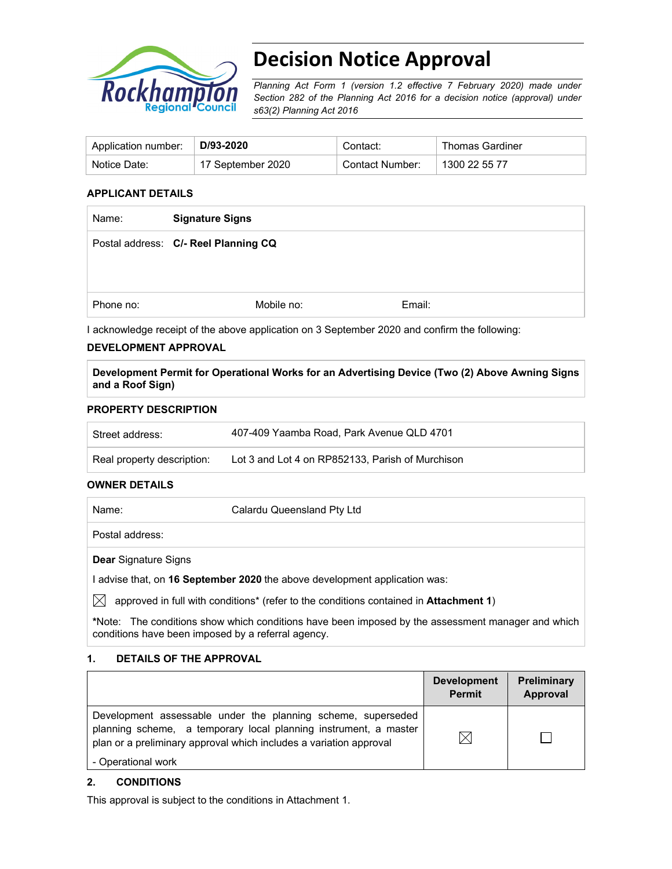

# **Decision Notice Approval**

*Planning Act Form 1 (version 1.2 effective 7 February 2020) made under Section 282 of the Planning Act 2016 for a decision notice (approval) under s63(2) Planning Act 2016*

| Application number: | $\perp$ D/93-2020 | Contact:        | <b>Thomas Gardiner</b> |
|---------------------|-------------------|-----------------|------------------------|
| Notice Date:        | 17 September 2020 | Contact Number: | 1300 22 55 77          |

#### **APPLICANT DETAILS**

| Name:     | <b>Signature Signs</b>               |        |
|-----------|--------------------------------------|--------|
|           | Postal address: C/- Reel Planning CQ |        |
|           |                                      |        |
| Phone no: | Mobile no:                           | Email: |
|           |                                      |        |

I acknowledge receipt of the above application on 3 September 2020 and confirm the following:

#### **DEVELOPMENT APPROVAL**

**Development Permit for Operational Works for an Advertising Device (Two (2) Above Awning Signs and a Roof Sign)** 

#### **PROPERTY DESCRIPTION**

| Street address:            | 407-409 Yaamba Road, Park Avenue QLD 4701        |
|----------------------------|--------------------------------------------------|
| Real property description: | Lot 3 and Lot 4 on RP852133, Parish of Murchison |

#### **OWNER DETAILS**

| Name: | Calardu Queensland Pty Ltd                                                            |  |
|-------|---------------------------------------------------------------------------------------|--|
|       | Postal address:                                                                       |  |
|       | <b>Dear Signature Signs</b>                                                           |  |
|       | advise that, on 16 September 2020 the above development application was:              |  |
|       | approved in full with conditions* (refer to the conditions contained in Attachment 1) |  |
|       |                                                                                       |  |

**\***Note:The conditions show which conditions have been imposed by the assessment manager and which conditions have been imposed by a referral agency.

### **1. DETAILS OF THE APPROVAL**

|                                                                                                                                                                                                        | <b>Development</b><br><b>Permit</b> | <b>Preliminary</b><br>Approval |
|--------------------------------------------------------------------------------------------------------------------------------------------------------------------------------------------------------|-------------------------------------|--------------------------------|
| Development assessable under the planning scheme, superseded<br>planning scheme, a temporary local planning instrument, a master<br>plan or a preliminary approval which includes a variation approval |                                     |                                |
| - Operational work                                                                                                                                                                                     |                                     |                                |

#### **2. CONDITIONS**

This approval is subject to the conditions in Attachment 1.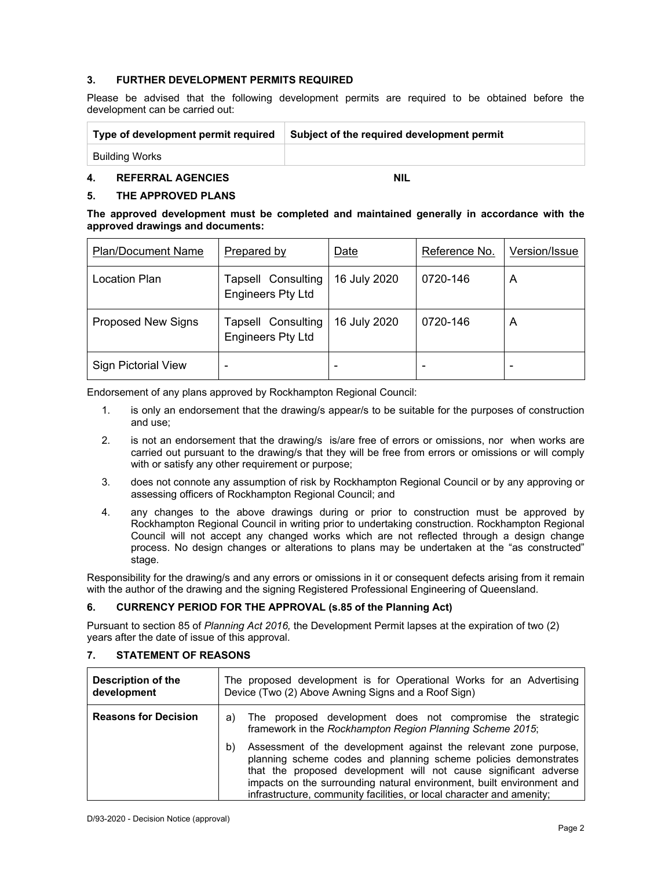#### **3. FURTHER DEVELOPMENT PERMITS REQUIRED**

Please be advised that the following development permits are required to be obtained before the development can be carried out:

| Type of development permit required | Subject of the required development permit |
|-------------------------------------|--------------------------------------------|
| <b>Building Works</b>               |                                            |

#### **4. REFERRAL AGENCIES NIL**

#### **5. THE APPROVED PLANS**

|  | The approved development must be completed and maintained generally in accordance with the |  |  |  |  |  |
|--|--------------------------------------------------------------------------------------------|--|--|--|--|--|
|  | approved drawings and documents:                                                           |  |  |  |  |  |

| <b>Plan/Document Name</b>  | Prepared by                                    | Date         | Reference No. | Version/Issue |
|----------------------------|------------------------------------------------|--------------|---------------|---------------|
| Location Plan              | Tapsell Consulting<br><b>Engineers Pty Ltd</b> | 16 July 2020 | 0720-146      | A             |
| <b>Proposed New Signs</b>  | Tapsell Consulting<br><b>Engineers Pty Ltd</b> | 16 July 2020 | 0720-146      | A             |
| <b>Sign Pictorial View</b> | -                                              |              |               |               |

Endorsement of any plans approved by Rockhampton Regional Council:

- 1. is only an endorsement that the drawing/s appear/s to be suitable for the purposes of construction and use;
- 2. is not an endorsement that the drawing/s is/are free of errors or omissions, nor when works are carried out pursuant to the drawing/s that they will be free from errors or omissions or will comply with or satisfy any other requirement or purpose;
- 3. does not connote any assumption of risk by Rockhampton Regional Council or by any approving or assessing officers of Rockhampton Regional Council; and
- 4. any changes to the above drawings during or prior to construction must be approved by Rockhampton Regional Council in writing prior to undertaking construction. Rockhampton Regional Council will not accept any changed works which are not reflected through a design change process. No design changes or alterations to plans may be undertaken at the "as constructed" stage.

Responsibility for the drawing/s and any errors or omissions in it or consequent defects arising from it remain with the author of the drawing and the signing Registered Professional Engineering of Queensland.

#### **6. CURRENCY PERIOD FOR THE APPROVAL (s.85 of the Planning Act)**

Pursuant to section 85 of *Planning Act 2016,* the Development Permit lapses at the expiration of two (2) years after the date of issue of this approval.

#### **7. STATEMENT OF REASONS**

| <b>Description of the</b><br>development | The proposed development is for Operational Works for an Advertising<br>Device (Two (2) Above Awning Signs and a Roof Sign)                                                                                                                                                                                                                                     |  |  |  |  |  |
|------------------------------------------|-----------------------------------------------------------------------------------------------------------------------------------------------------------------------------------------------------------------------------------------------------------------------------------------------------------------------------------------------------------------|--|--|--|--|--|
| <b>Reasons for Decision</b>              | The proposed development does not compromise the strategic<br>a)<br>framework in the Rockhampton Region Planning Scheme 2015;                                                                                                                                                                                                                                   |  |  |  |  |  |
|                                          | Assessment of the development against the relevant zone purpose,<br>b)<br>planning scheme codes and planning scheme policies demonstrates<br>that the proposed development will not cause significant adverse<br>impacts on the surrounding natural environment, built environment and<br>infrastructure, community facilities, or local character and amenity; |  |  |  |  |  |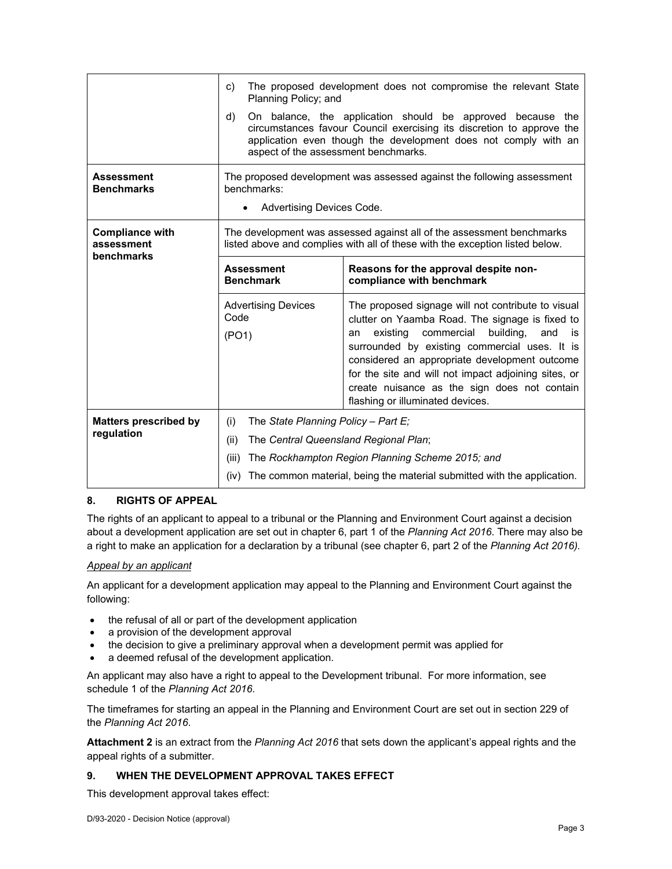|                                                    | The proposed development does not compromise the relevant State<br>c)<br>Planning Policy; and                                                         |                                                                                                                                                                                                                                                                   |  |  |  |
|----------------------------------------------------|-------------------------------------------------------------------------------------------------------------------------------------------------------|-------------------------------------------------------------------------------------------------------------------------------------------------------------------------------------------------------------------------------------------------------------------|--|--|--|
|                                                    | d)<br>aspect of the assessment benchmarks.                                                                                                            | On balance, the application should be approved because the<br>circumstances favour Council exercising its discretion to approve the<br>application even though the development does not comply with an                                                            |  |  |  |
| <b>Assessment</b><br><b>Benchmarks</b>             | benchmarks:<br>Advertising Devices Code.                                                                                                              | The proposed development was assessed against the following assessment                                                                                                                                                                                            |  |  |  |
|                                                    |                                                                                                                                                       |                                                                                                                                                                                                                                                                   |  |  |  |
| <b>Compliance with</b><br>assessment<br>benchmarks | The development was assessed against all of the assessment benchmarks<br>listed above and complies with all of these with the exception listed below. |                                                                                                                                                                                                                                                                   |  |  |  |
|                                                    | <b>Assessment</b><br><b>Benchmark</b>                                                                                                                 | Reasons for the approval despite non-<br>compliance with benchmark                                                                                                                                                                                                |  |  |  |
|                                                    | <b>Advertising Devices</b><br>Code<br>(PO1)                                                                                                           | The proposed signage will not contribute to visual<br>clutter on Yaamba Road. The signage is fixed to<br>existing<br>commercial<br>building,<br>and<br>is<br>an<br>surrounded by existing commercial uses. It is<br>considered an appropriate development outcome |  |  |  |
|                                                    | for the site and will not impact adjoining sites, or<br>create nuisance as the sign does not contain<br>flashing or illuminated devices.              |                                                                                                                                                                                                                                                                   |  |  |  |
| <b>Matters prescribed by</b>                       | (i)<br>The State Planning Policy - Part E;                                                                                                            |                                                                                                                                                                                                                                                                   |  |  |  |
| regulation                                         | (ii)<br>The Central Queensland Regional Plan;                                                                                                         |                                                                                                                                                                                                                                                                   |  |  |  |
|                                                    | (iii)                                                                                                                                                 | The Rockhampton Region Planning Scheme 2015; and                                                                                                                                                                                                                  |  |  |  |
|                                                    | The common material, being the material submitted with the application.<br>(iv)                                                                       |                                                                                                                                                                                                                                                                   |  |  |  |

#### **8. RIGHTS OF APPEAL**

The rights of an applicant to appeal to a tribunal or the Planning and Environment Court against a decision about a development application are set out in chapter 6, part 1 of the *Planning Act 2016*. There may also be a right to make an application for a declaration by a tribunal (see chapter 6, part 2 of the *Planning Act 2016).*

#### *Appeal by an applicant*

An applicant for a development application may appeal to the Planning and Environment Court against the following:

- the refusal of all or part of the development application
- a provision of the development approval
- the decision to give a preliminary approval when a development permit was applied for
- a deemed refusal of the development application.

An applicant may also have a right to appeal to the Development tribunal. For more information, see schedule 1 of the *Planning Act 2016*.

The timeframes for starting an appeal in the Planning and Environment Court are set out in section 229 of the *Planning Act 2016*.

**Attachment 2** is an extract from the *Planning Act 2016* that sets down the applicant's appeal rights and the appeal rights of a submitter.

#### **9. WHEN THE DEVELOPMENT APPROVAL TAKES EFFECT**

This development approval takes effect: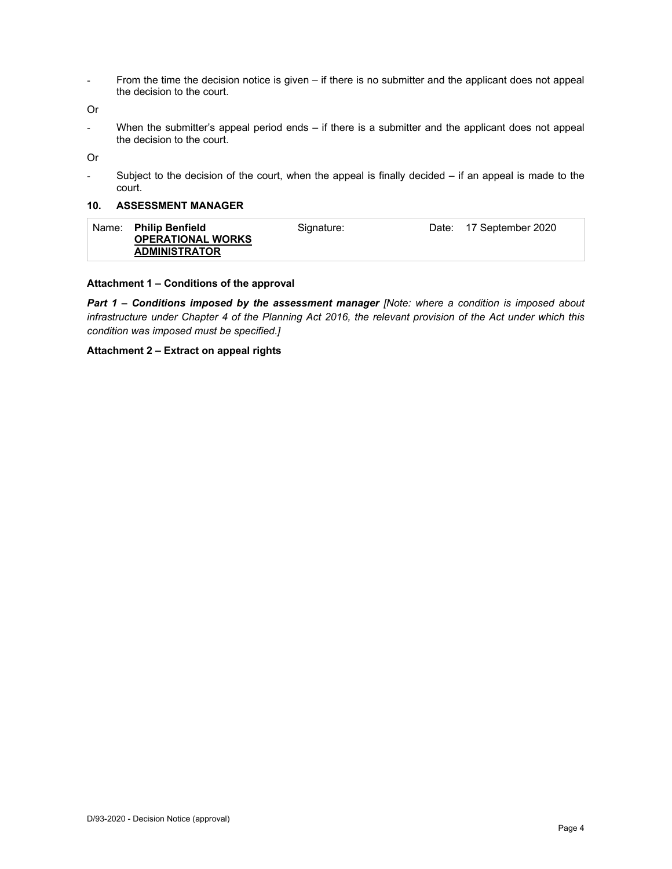- From the time the decision notice is given – if there is no submitter and the applicant does not appeal the decision to the court.

Or

- When the submitter's appeal period ends – if there is a submitter and the applicant does not appeal the decision to the court.

Or

- Subject to the decision of the court, when the appeal is finally decided – if an appeal is made to the court.

#### **10. ASSESSMENT MANAGER**

| <b>ADMINISTRATOR</b> | Name: | <b>Philip Benfield</b><br><b>OPERATIONAL WORKS</b> | Signature: | Date: 17 September 2020 |
|----------------------|-------|----------------------------------------------------|------------|-------------------------|
|                      |       |                                                    |            |                         |

#### **Attachment 1 – Conditions of the approval**

*Part 1* **–** *Conditions imposed by the assessment manager [Note: where a condition is imposed about infrastructure under Chapter 4 of the Planning Act 2016, the relevant provision of the Act under which this condition was imposed must be specified.]*

#### **Attachment 2 – Extract on appeal rights**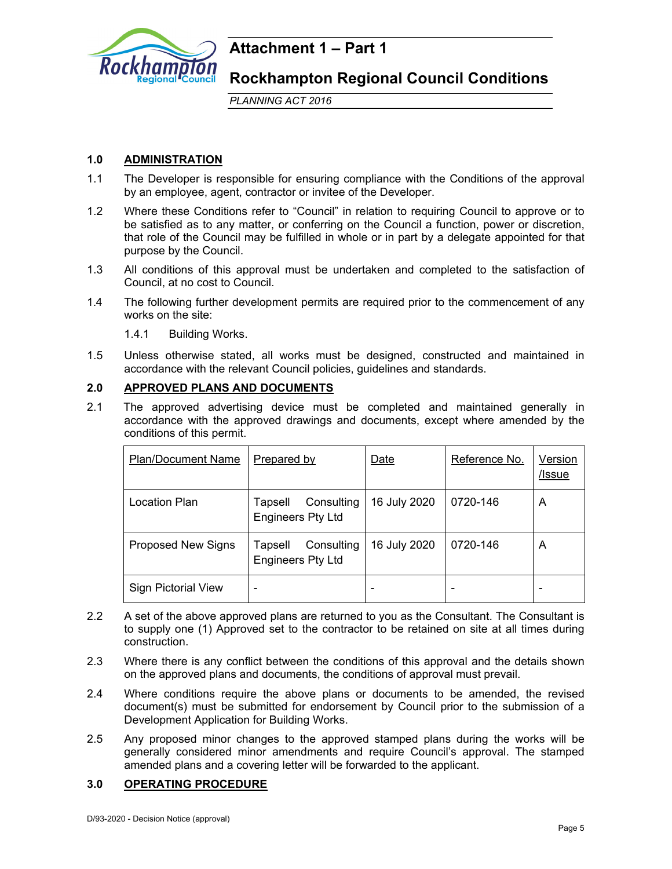

## **Attachment 1 – Part 1**

**Rockhampton Regional Council Conditions** 

*PLANNING ACT 2016*

### **1.0 ADMINISTRATION**

- 1.1 The Developer is responsible for ensuring compliance with the Conditions of the approval by an employee, agent, contractor or invitee of the Developer.
- 1.2 Where these Conditions refer to "Council" in relation to requiring Council to approve or to be satisfied as to any matter, or conferring on the Council a function, power or discretion, that role of the Council may be fulfilled in whole or in part by a delegate appointed for that purpose by the Council.
- 1.3 All conditions of this approval must be undertaken and completed to the satisfaction of Council, at no cost to Council.
- 1.4 The following further development permits are required prior to the commencement of any works on the site:
	- 1.4.1 Building Works.
- 1.5 Unless otherwise stated, all works must be designed, constructed and maintained in accordance with the relevant Council policies, guidelines and standards.

#### **2.0 APPROVED PLANS AND DOCUMENTS**

2.1 The approved advertising device must be completed and maintained generally in accordance with the approved drawings and documents, except where amended by the conditions of this permit.

| <b>Plan/Document Name</b>  | Prepared by                                       | Date         | Reference No. | Version<br>/Issue |
|----------------------------|---------------------------------------------------|--------------|---------------|-------------------|
| Location Plan              | Consulting<br>Tapsell<br><b>Engineers Pty Ltd</b> | 16 July 2020 | 0720-146      | A                 |
| <b>Proposed New Signs</b>  | Consulting<br>Tapsell<br><b>Engineers Pty Ltd</b> | 16 July 2020 | 0720-146      | A                 |
| <b>Sign Pictorial View</b> | -                                                 |              |               |                   |

- 2.2 A set of the above approved plans are returned to you as the Consultant. The Consultant is to supply one (1) Approved set to the contractor to be retained on site at all times during construction.
- 2.3 Where there is any conflict between the conditions of this approval and the details shown on the approved plans and documents, the conditions of approval must prevail.
- 2.4 Where conditions require the above plans or documents to be amended, the revised document(s) must be submitted for endorsement by Council prior to the submission of a Development Application for Building Works.
- 2.5 Any proposed minor changes to the approved stamped plans during the works will be generally considered minor amendments and require Council's approval. The stamped amended plans and a covering letter will be forwarded to the applicant.

#### **3.0 OPERATING PROCEDURE**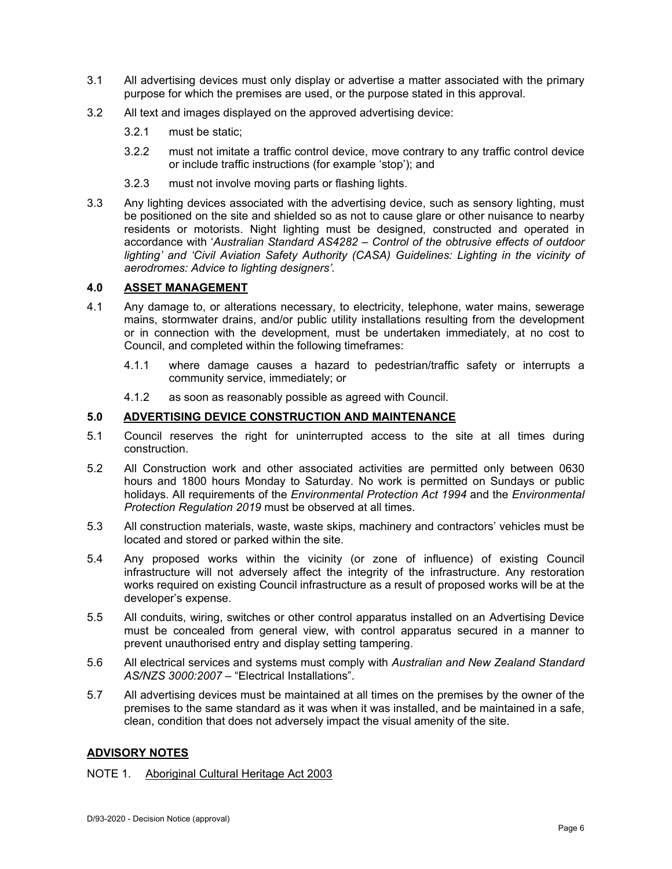- 3.1 All advertising devices must only display or advertise a matter associated with the primary purpose for which the premises are used, or the purpose stated in this approval.
- 3.2 All text and images displayed on the approved advertising device:
	- 3.2.1 must be static;
	- 3.2.2 must not imitate a traffic control device, move contrary to any traffic control device or include traffic instructions (for example 'stop'); and
	- 3.2.3 must not involve moving parts or flashing lights.
- 3.3 Any lighting devices associated with the advertising device, such as sensory lighting, must be positioned on the site and shielded so as not to cause glare or other nuisance to nearby residents or motorists. Night lighting must be designed, constructed and operated in accordance with '*Australian Standard AS4282 – Control of the obtrusive effects of outdoor*  lighting' and 'Civil Aviation Safety Authority (CASA) Guidelines: Lighting in the vicinity of *aerodromes: Advice to lighting designers'.*

#### **4.0 ASSET MANAGEMENT**

- 4.1 Any damage to, or alterations necessary, to electricity, telephone, water mains, sewerage mains, stormwater drains, and/or public utility installations resulting from the development or in connection with the development, must be undertaken immediately, at no cost to Council, and completed within the following timeframes:
	- 4.1.1 where damage causes a hazard to pedestrian/traffic safety or interrupts a community service, immediately; or
	- 4.1.2 as soon as reasonably possible as agreed with Council.

#### **5.0 ADVERTISING DEVICE CONSTRUCTION AND MAINTENANCE**

- 5.1 Council reserves the right for uninterrupted access to the site at all times during construction.
- 5.2 All Construction work and other associated activities are permitted only between 0630 hours and 1800 hours Monday to Saturday. No work is permitted on Sundays or public holidays. All requirements of the *Environmental Protection Act 1994* and the *Environmental Protection Regulation 2019* must be observed at all times.
- 5.3 All construction materials, waste, waste skips, machinery and contractors' vehicles must be located and stored or parked within the site.
- 5.4 Any proposed works within the vicinity (or zone of influence) of existing Council infrastructure will not adversely affect the integrity of the infrastructure. Any restoration works required on existing Council infrastructure as a result of proposed works will be at the developer's expense.
- 5.5 All conduits, wiring, switches or other control apparatus installed on an Advertising Device must be concealed from general view, with control apparatus secured in a manner to prevent unauthorised entry and display setting tampering.
- 5.6 All electrical services and systems must comply with *Australian and New Zealand Standard AS/NZS 3000:2007* – "Electrical Installations".
- 5.7 All advertising devices must be maintained at all times on the premises by the owner of the premises to the same standard as it was when it was installed, and be maintained in a safe, clean, condition that does not adversely impact the visual amenity of the site.

#### **ADVISORY NOTES**

#### NOTE 1. Aboriginal Cultural Heritage Act 2003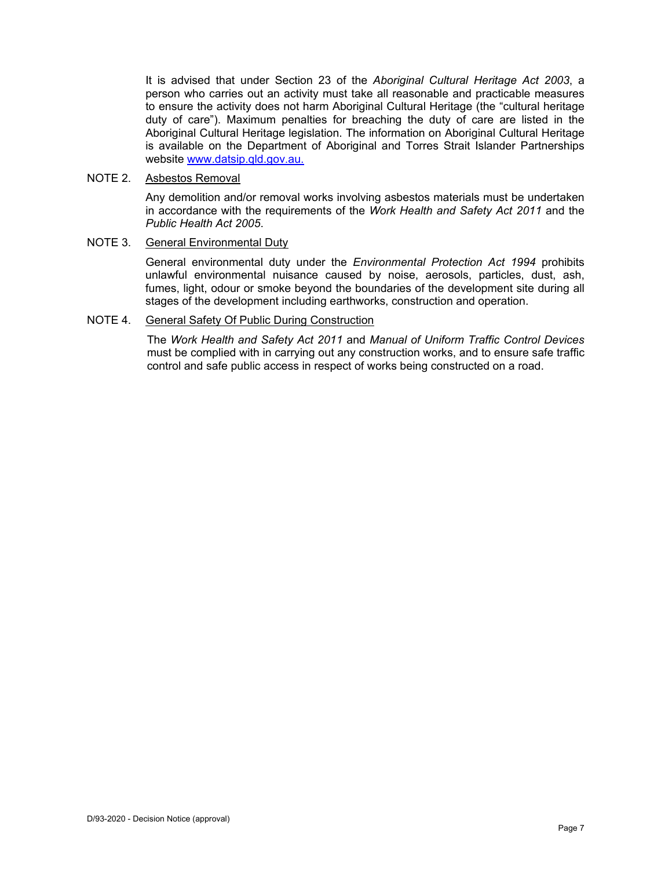It is advised that under Section 23 of the *Aboriginal Cultural Heritage Act 2003*, a person who carries out an activity must take all reasonable and practicable measures to ensure the activity does not harm Aboriginal Cultural Heritage (the "cultural heritage duty of care"). Maximum penalties for breaching the duty of care are listed in the Aboriginal Cultural Heritage legislation. The information on Aboriginal Cultural Heritage is available on the Department of Aboriginal and Torres Strait Islander Partnerships website www.datsip.qld.gov.au.

#### NOTE 2. Asbestos Removal

Any demolition and/or removal works involving asbestos materials must be undertaken in accordance with the requirements of the *Work Health and Safety Act 2011* and the *Public Health Act 2005*.

#### NOTE 3. General Environmental Duty

General environmental duty under the *Environmental Protection Act 1994* prohibits unlawful environmental nuisance caused by noise, aerosols, particles, dust, ash, fumes, light, odour or smoke beyond the boundaries of the development site during all stages of the development including earthworks, construction and operation.

#### NOTE 4. General Safety Of Public During Construction

The *Work Health and Safety Act 2011* and *Manual of Uniform Traffic Control Devices* must be complied with in carrying out any construction works, and to ensure safe traffic control and safe public access in respect of works being constructed on a road.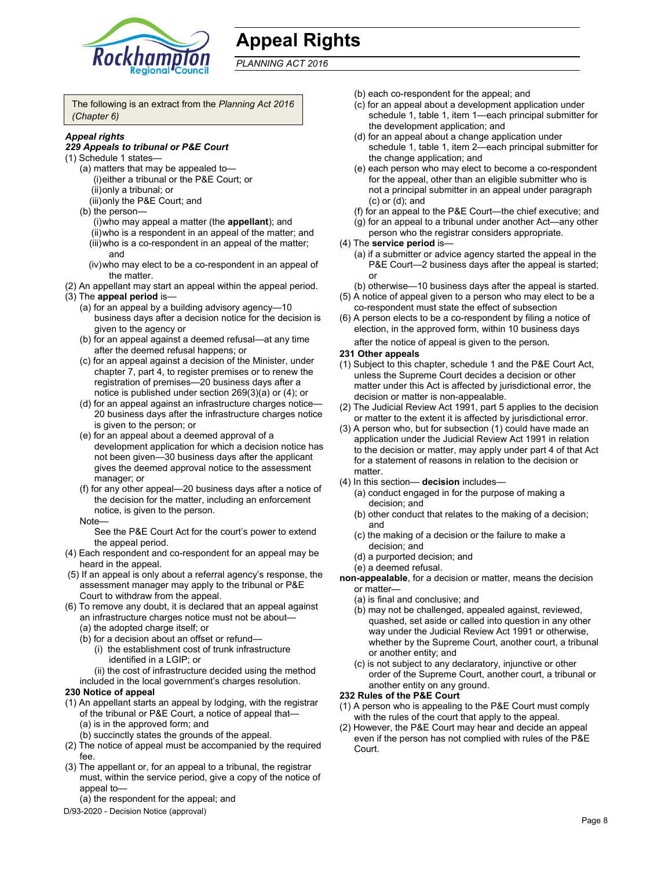

# **Appeal Rights**

*PLANNING ACT 2016*

The following is an extract from the *Planning Act 2016 (Chapter 6)*

#### *Appeal rights*

#### *229 Appeals to tribunal or P&E Court*

- (1) Schedule 1 states—
	- (a) matters that may be appealed to— (i) either a tribunal or the P&E Court; or (ii) only a tribunal; or
	- (iii) only the P&E Court; and
	- (b) the person—
		- (i) who may appeal a matter (the **appellant**); and
		- (ii) who is a respondent in an appeal of the matter; and (iii) who is a co-respondent in an appeal of the matter; and
		- (iv) who may elect to be a co-respondent in an appeal of the matter.
- (2) An appellant may start an appeal within the appeal period. (3) The **appeal period** is—
	- (a) for an appeal by a building advisory agency—10 business days after a decision notice for the decision is given to the agency or
	- (b) for an appeal against a deemed refusal—at any time after the deemed refusal happens; or
	- (c) for an appeal against a decision of the Minister, under chapter 7, part 4, to register premises or to renew the registration of premises—20 business days after a notice is published under section 269(3)(a) or (4); or
	- (d) for an appeal against an infrastructure charges notice— 20 business days after the infrastructure charges notice is given to the person; or
	- (e) for an appeal about a deemed approval of a development application for which a decision notice has not been given—30 business days after the applicant gives the deemed approval notice to the assessment manager; or
	- (f) for any other appeal—20 business days after a notice of the decision for the matter, including an enforcement notice, is given to the person.
	- Note—

See the P&E Court Act for the court's power to extend the appeal period.

- (4) Each respondent and co-respondent for an appeal may be heard in the appeal.
- (5) If an appeal is only about a referral agency's response, the assessment manager may apply to the tribunal or P&E Court to withdraw from the appeal.
- (6) To remove any doubt, it is declared that an appeal against an infrastructure charges notice must not be about—
	- (a) the adopted charge itself; or
	- (b) for a decision about an offset or refund—
		- (i) the establishment cost of trunk infrastructure identified in a LGIP; or

(ii) the cost of infrastructure decided using the method

included in the local government's charges resolution.

#### **230 Notice of appeal**

- (1) An appellant starts an appeal by lodging, with the registrar of the tribunal or P&E Court, a notice of appeal that— (a) is in the approved form; and
	- (b) succinctly states the grounds of the appeal.
- (2) The notice of appeal must be accompanied by the required fee.
- (3) The appellant or, for an appeal to a tribunal, the registrar must, within the service period, give a copy of the notice of appeal to—
	- (a) the respondent for the appeal; and
- D/93-2020 Decision Notice (approval)
- (b) each co-respondent for the appeal; and
- (c) for an appeal about a development application under schedule 1, table 1, item 1—each principal submitter for the development application; and
- (d) for an appeal about a change application under schedule 1, table 1, item 2—each principal submitter for the change application; and
- (e) each person who may elect to become a co-respondent for the appeal, other than an eligible submitter who is not a principal submitter in an appeal under paragraph (c) or (d); and
- (f) for an appeal to the P&E Court—the chief executive; and
- (g) for an appeal to a tribunal under another Act—any other person who the registrar considers appropriate.
- (4) The **service period** is—
	- (a) if a submitter or advice agency started the appeal in the P&E Court—2 business days after the appeal is started; or
	- (b) otherwise—10 business days after the appeal is started.
- (5) A notice of appeal given to a person who may elect to be a co-respondent must state the effect of subsection
- (6) A person elects to be a co-respondent by filing a notice of election, in the approved form, within 10 business days after the notice of appeal is given to the person*.*

#### **231 Other appeals**

- (1) Subject to this chapter, schedule 1 and the P&E Court Act, unless the Supreme Court decides a decision or other matter under this Act is affected by jurisdictional error, the decision or matter is non-appealable.
- (2) The Judicial Review Act 1991, part 5 applies to the decision or matter to the extent it is affected by jurisdictional error.
- (3) A person who, but for subsection (1) could have made an application under the Judicial Review Act 1991 in relation to the decision or matter, may apply under part 4 of that Act for a statement of reasons in relation to the decision or matter.
- (4) In this section— **decision** includes—
	- (a) conduct engaged in for the purpose of making a decision; and
	- (b) other conduct that relates to the making of a decision; and
	- (c) the making of a decision or the failure to make a decision; and
	- (d) a purported decision; and
	- (e) a deemed refusal.

**non-appealable**, for a decision or matter, means the decision or matter—

- (a) is final and conclusive; and
- (b) may not be challenged, appealed against, reviewed, quashed, set aside or called into question in any other way under the Judicial Review Act 1991 or otherwise, whether by the Supreme Court, another court, a tribunal or another entity; and
- (c) is not subject to any declaratory, injunctive or other order of the Supreme Court, another court, a tribunal or another entity on any ground.

#### **232 Rules of the P&E Court**

- (1) A person who is appealing to the P&E Court must comply with the rules of the court that apply to the appeal.
- (2) However, the P&E Court may hear and decide an appeal even if the person has not complied with rules of the P&E Court.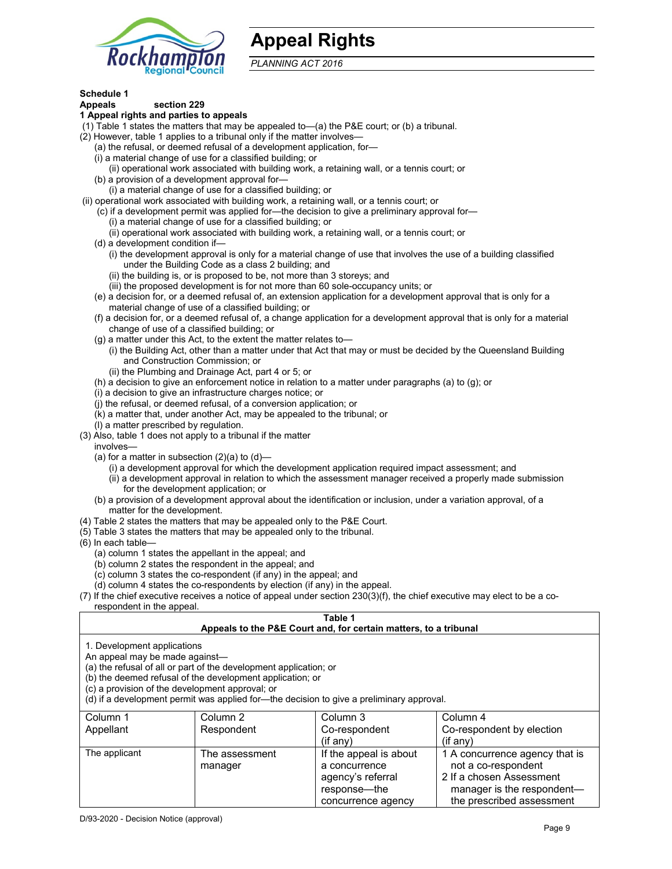

## **Appeal Rights**

*PLANNING ACT 2016*

### **Schedule 1**

#### **Appeals section 229 1 Appeal rights and parties to appeals**

- (1) Table 1 states the matters that may be appealed to—(a) the P&E court; or (b) a tribunal.
- (2) However, table 1 applies to a tribunal only if the matter involves—
	- (a) the refusal, or deemed refusal of a development application, for—
	- (i) a material change of use for a classified building; or
	- (ii) operational work associated with building work, a retaining wall, or a tennis court; or
	- (b) a provision of a development approval for—
	- (i) a material change of use for a classified building; or
- (ii) operational work associated with building work, a retaining wall, or a tennis court; or
	- (c) if a development permit was applied for—the decision to give a preliminary approval for—
		- (i) a material change of use for a classified building; or
		- (ii) operational work associated with building work, a retaining wall, or a tennis court; or
	- (d) a development condition if—
		- (i) the development approval is only for a material change of use that involves the use of a building classified under the Building Code as a class 2 building; and
		- (ii) the building is, or is proposed to be, not more than 3 storeys; and
		- (iii) the proposed development is for not more than 60 sole-occupancy units; or
	- (e) a decision for, or a deemed refusal of, an extension application for a development approval that is only for a material change of use of a classified building; or
	- (f) a decision for, or a deemed refusal of, a change application for a development approval that is only for a material change of use of a classified building; or
	- (g) a matter under this Act, to the extent the matter relates to—
		- (i) the Building Act, other than a matter under that Act that may or must be decided by the Queensland Building and Construction Commission; or
		- (ii) the Plumbing and Drainage Act, part 4 or 5; or
	- (h) a decision to give an enforcement notice in relation to a matter under paragraphs (a) to (g); or
	- (i) a decision to give an infrastructure charges notice; or
	- (j) the refusal, or deemed refusal, of a conversion application; or
	- (k) a matter that, under another Act, may be appealed to the tribunal; or
	- (l) a matter prescribed by regulation.
- (3) Also, table 1 does not apply to a tribunal if the matter
- involves—
	- (a) for a matter in subsection  $(2)(a)$  to  $(d)$ 
		- (i) a development approval for which the development application required impact assessment; and
		- (ii) a development approval in relation to which the assessment manager received a properly made submission for the development application; or
	- (b) a provision of a development approval about the identification or inclusion, under a variation approval, of a matter for the development.
- (4) Table 2 states the matters that may be appealed only to the P&E Court.
- (5) Table 3 states the matters that may be appealed only to the tribunal.
- (6) In each table—
	- (a) column 1 states the appellant in the appeal; and
	- (b) column 2 states the respondent in the appeal; and
	- (c) column 3 states the co-respondent (if any) in the appeal; and
	- (d) column 4 states the co-respondents by election (if any) in the appeal.
- (7) If the chief executive receives a notice of appeal under section 230(3)(f), the chief executive may elect to be a corespondent in the appeal.

### **Table 1**

#### **Appeals to the P&E Court and, for certain matters, to a tribunal**

1. Development applications

An appeal may be made against—

(a) the refusal of all or part of the development application; or

(b) the deemed refusal of the development application; or

(c) a provision of the development approval; or

(d) if a development permit was applied for—the decision to give a preliminary approval.

| Column 1      | Column 2       | Column 3               | Column 4                       |
|---------------|----------------|------------------------|--------------------------------|
| Appellant     | Respondent     | Co-respondent          | Co-respondent by election      |
|               |                | $(if$ any)             | $(if$ anv)                     |
| The applicant | The assessment | If the appeal is about | 1 A concurrence agency that is |
|               | manager        | a concurrence          | not a co-respondent            |
|               |                | agency's referral      | 2 If a chosen Assessment       |
|               |                | response—the           | manager is the respondent-     |
|               |                | concurrence agency     | the prescribed assessment      |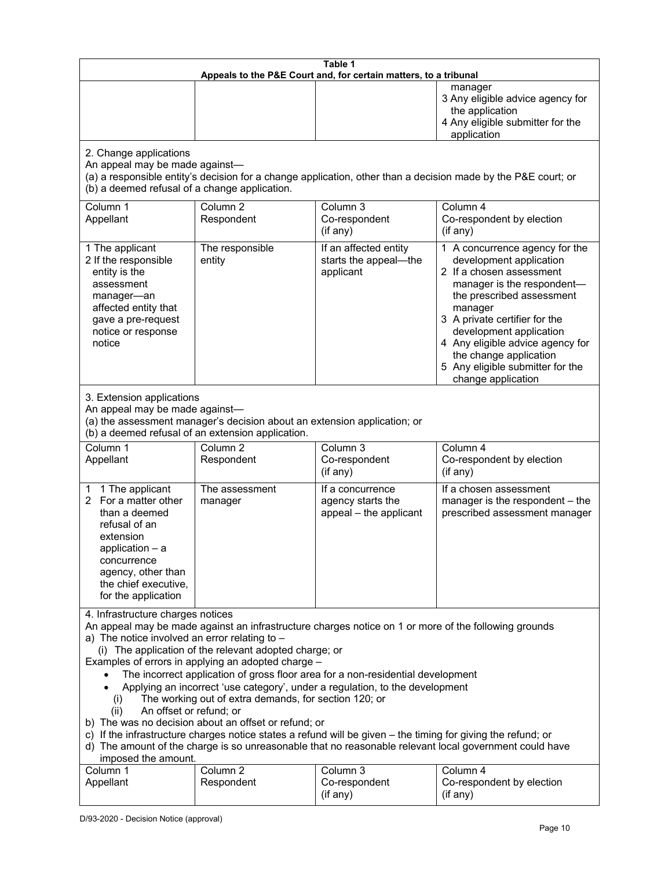| Table 1<br>Appeals to the P&E Court and, for certain matters, to a tribunal                                                                                                                                                                                                                                                                                                                                                                                                                                                                                                                                                                                                                                                                                                                                                                                                                 |                                   |                                                                 |                                                                                                                                                                                                                                                                                                                                                 |
|---------------------------------------------------------------------------------------------------------------------------------------------------------------------------------------------------------------------------------------------------------------------------------------------------------------------------------------------------------------------------------------------------------------------------------------------------------------------------------------------------------------------------------------------------------------------------------------------------------------------------------------------------------------------------------------------------------------------------------------------------------------------------------------------------------------------------------------------------------------------------------------------|-----------------------------------|-----------------------------------------------------------------|-------------------------------------------------------------------------------------------------------------------------------------------------------------------------------------------------------------------------------------------------------------------------------------------------------------------------------------------------|
|                                                                                                                                                                                                                                                                                                                                                                                                                                                                                                                                                                                                                                                                                                                                                                                                                                                                                             |                                   |                                                                 | manager<br>3 Any eligible advice agency for<br>the application<br>4 Any eligible submitter for the<br>application                                                                                                                                                                                                                               |
| 2. Change applications<br>An appeal may be made against-<br>(b) a deemed refusal of a change application.                                                                                                                                                                                                                                                                                                                                                                                                                                                                                                                                                                                                                                                                                                                                                                                   |                                   |                                                                 | (a) a responsible entity's decision for a change application, other than a decision made by the P&E court; or                                                                                                                                                                                                                                   |
| Column 1<br>Appellant                                                                                                                                                                                                                                                                                                                                                                                                                                                                                                                                                                                                                                                                                                                                                                                                                                                                       | Column <sub>2</sub><br>Respondent | Column 3<br>Co-respondent<br>(if any)                           | Column 4<br>Co-respondent by election<br>(if any)                                                                                                                                                                                                                                                                                               |
| 1 The applicant<br>2 If the responsible<br>entity is the<br>assessment<br>manager-an<br>affected entity that<br>gave a pre-request<br>notice or response<br>notice                                                                                                                                                                                                                                                                                                                                                                                                                                                                                                                                                                                                                                                                                                                          | The responsible<br>entity         | If an affected entity<br>starts the appeal-the<br>applicant     | 1 A concurrence agency for the<br>development application<br>2 If a chosen assessment<br>manager is the respondent-<br>the prescribed assessment<br>manager<br>3 A private certifier for the<br>development application<br>4 Any eligible advice agency for<br>the change application<br>5 Any eligible submitter for the<br>change application |
| 3. Extension applications<br>An appeal may be made against-<br>(a) the assessment manager's decision about an extension application; or<br>(b) a deemed refusal of an extension application.                                                                                                                                                                                                                                                                                                                                                                                                                                                                                                                                                                                                                                                                                                |                                   |                                                                 |                                                                                                                                                                                                                                                                                                                                                 |
| Column 1<br>Appellant                                                                                                                                                                                                                                                                                                                                                                                                                                                                                                                                                                                                                                                                                                                                                                                                                                                                       | Column <sub>2</sub><br>Respondent | Column 3<br>Co-respondent<br>(if any)                           | Column 4<br>Co-respondent by election<br>(if any)                                                                                                                                                                                                                                                                                               |
| 1 The applicant<br>1<br>2 For a matter other<br>than a deemed<br>refusal of an<br>extension<br>application $-$ a<br>concurrence<br>agency, other than<br>the chief executive,<br>for the application                                                                                                                                                                                                                                                                                                                                                                                                                                                                                                                                                                                                                                                                                        | The assessment<br>manager         | If a concurrence<br>agency starts the<br>appeal - the applicant | If a chosen assessment<br>manager is the respondent - the<br>prescribed assessment manager                                                                                                                                                                                                                                                      |
| 4. Infrastructure charges notices<br>An appeal may be made against an infrastructure charges notice on 1 or more of the following grounds<br>a) The notice involved an error relating to $-$<br>(i) The application of the relevant adopted charge; or<br>Examples of errors in applying an adopted charge -<br>The incorrect application of gross floor area for a non-residential development<br>Applying an incorrect 'use category', under a regulation, to the development<br>The working out of extra demands, for section 120; or<br>(i)<br>An offset or refund; or<br>(ii)<br>b) The was no decision about an offset or refund; or<br>c) If the infrastructure charges notice states a refund will be given - the timing for giving the refund; or<br>d) The amount of the charge is so unreasonable that no reasonable relevant local government could have<br>imposed the amount. |                                   |                                                                 |                                                                                                                                                                                                                                                                                                                                                 |
| Column 1<br>Appellant                                                                                                                                                                                                                                                                                                                                                                                                                                                                                                                                                                                                                                                                                                                                                                                                                                                                       | Column <sub>2</sub><br>Respondent | Column 3<br>Co-respondent<br>(if any)                           | Column 4<br>Co-respondent by election<br>(if any)                                                                                                                                                                                                                                                                                               |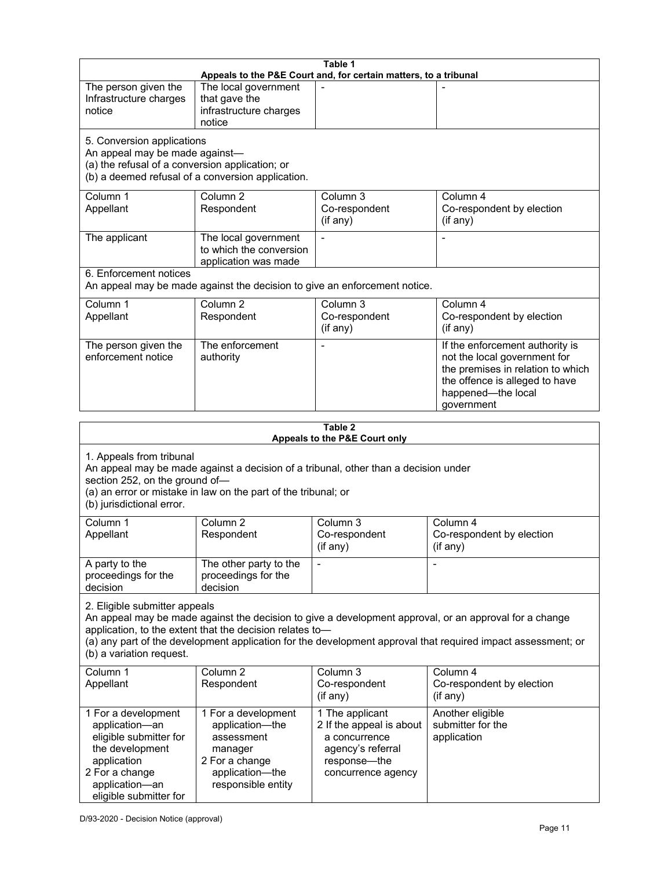| Table 1<br>Appeals to the P&E Court and, for certain matters, to a tribunal                                                                                                                                                                                                                                                                     |                                                                                   |                                                                                                   |                                                                                                                                                                            |
|-------------------------------------------------------------------------------------------------------------------------------------------------------------------------------------------------------------------------------------------------------------------------------------------------------------------------------------------------|-----------------------------------------------------------------------------------|---------------------------------------------------------------------------------------------------|----------------------------------------------------------------------------------------------------------------------------------------------------------------------------|
| The person given the<br>Infrastructure charges<br>notice                                                                                                                                                                                                                                                                                        | The local government<br>that gave the<br>infrastructure charges<br>notice         |                                                                                                   |                                                                                                                                                                            |
| 5. Conversion applications<br>An appeal may be made against-<br>(a) the refusal of a conversion application; or                                                                                                                                                                                                                                 | (b) a deemed refusal of a conversion application.                                 |                                                                                                   |                                                                                                                                                                            |
| Column 1<br>Appellant                                                                                                                                                                                                                                                                                                                           | Column <sub>2</sub><br>Respondent                                                 | Column <sub>3</sub><br>Co-respondent<br>(if any)                                                  | Column 4<br>Co-respondent by election<br>(if any)                                                                                                                          |
| The applicant                                                                                                                                                                                                                                                                                                                                   | The local government<br>to which the conversion<br>application was made           | Ĭ.                                                                                                |                                                                                                                                                                            |
| 6. Enforcement notices                                                                                                                                                                                                                                                                                                                          | An appeal may be made against the decision to give an enforcement notice.         |                                                                                                   |                                                                                                                                                                            |
| Column 1<br>Appellant                                                                                                                                                                                                                                                                                                                           | Column <sub>2</sub><br>Respondent                                                 | Column 3<br>Co-respondent<br>(if any)                                                             | Column $\overline{4}$<br>Co-respondent by election<br>(if any)                                                                                                             |
| The person given the<br>enforcement notice                                                                                                                                                                                                                                                                                                      | The enforcement<br>authority                                                      |                                                                                                   | If the enforcement authority is<br>not the local government for<br>the premises in relation to which<br>the offence is alleged to have<br>happened-the local<br>government |
|                                                                                                                                                                                                                                                                                                                                                 |                                                                                   | Table 2                                                                                           |                                                                                                                                                                            |
| Appeals to the P&E Court only<br>1. Appeals from tribunal<br>An appeal may be made against a decision of a tribunal, other than a decision under<br>section 252, on the ground of-<br>(a) an error or mistake in law on the part of the tribunal; or<br>(b) jurisdictional error.                                                               |                                                                                   |                                                                                                   |                                                                                                                                                                            |
| Column 1<br>Appellant                                                                                                                                                                                                                                                                                                                           | Column <sub>2</sub><br>Respondent                                                 | Column 3<br>Co-respondent<br>(if any)                                                             | Column 4<br>Co-respondent by election<br>(if any)                                                                                                                          |
| A party to the<br>proceedings for the<br>decision                                                                                                                                                                                                                                                                                               | The other party to the<br>proceedings for the<br>decision                         |                                                                                                   |                                                                                                                                                                            |
| 2. Eligible submitter appeals<br>An appeal may be made against the decision to give a development approval, or an approval for a change<br>application, to the extent that the decision relates to-<br>(a) any part of the development application for the development approval that required impact assessment; or<br>(b) a variation request. |                                                                                   |                                                                                                   |                                                                                                                                                                            |
| Column 1<br>Appellant                                                                                                                                                                                                                                                                                                                           | Column <sub>2</sub><br>Respondent                                                 | Column 3<br>Co-respondent<br>(if any)                                                             | Column 4<br>Co-respondent by election<br>(if any)                                                                                                                          |
| 1 For a development<br>application-an<br>eligible submitter for<br>the development<br>application                                                                                                                                                                                                                                               | 1 For a development<br>application-the<br>assessment<br>manager<br>2 For a change | 1 The applicant<br>2 If the appeal is about<br>a concurrence<br>agency's referral<br>response-the | Another eligible<br>submitter for the<br>application                                                                                                                       |

concurrence agency

application—the responsible entity

2 For a change application—an eligible submitter for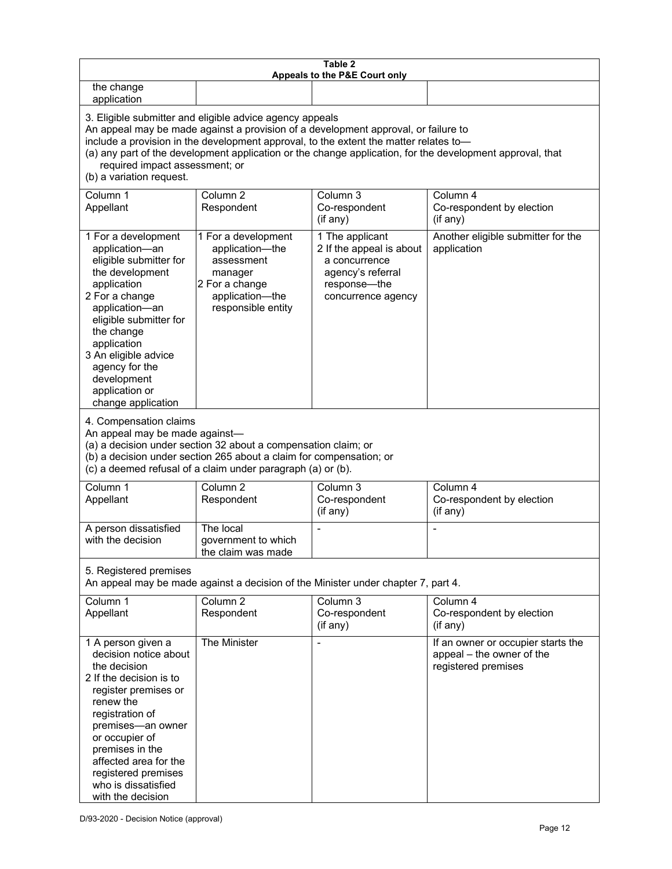| Table 2<br>Appeals to the P&E Court only                                                                                                                                                                                                                                                                                                                                                                           |                                                                                                                            |                                                                                                                         |                                                                                        |
|--------------------------------------------------------------------------------------------------------------------------------------------------------------------------------------------------------------------------------------------------------------------------------------------------------------------------------------------------------------------------------------------------------------------|----------------------------------------------------------------------------------------------------------------------------|-------------------------------------------------------------------------------------------------------------------------|----------------------------------------------------------------------------------------|
| the change<br>application                                                                                                                                                                                                                                                                                                                                                                                          |                                                                                                                            |                                                                                                                         |                                                                                        |
| 3. Eligible submitter and eligible advice agency appeals<br>An appeal may be made against a provision of a development approval, or failure to<br>include a provision in the development approval, to the extent the matter relates to-<br>(a) any part of the development application or the change application, for the development approval, that<br>required impact assessment; or<br>(b) a variation request. |                                                                                                                            |                                                                                                                         |                                                                                        |
| Column 1<br>Appellant                                                                                                                                                                                                                                                                                                                                                                                              | Column <sub>2</sub><br>Respondent                                                                                          | Column 3<br>Co-respondent<br>(if any)                                                                                   | Column 4<br>Co-respondent by election<br>(if any)                                      |
| 1 For a development<br>application-an<br>eligible submitter for<br>the development<br>application<br>2 For a change<br>application-an<br>eligible submitter for<br>the change<br>application<br>3 An eligible advice<br>agency for the<br>development<br>application or<br>change application                                                                                                                      | 1 For a development<br>application-the<br>assessment<br>manager<br>2 For a change<br>application-the<br>responsible entity | 1 The applicant<br>2 If the appeal is about<br>a concurrence<br>agency's referral<br>response-the<br>concurrence agency | Another eligible submitter for the<br>application                                      |
| 4. Compensation claims<br>An appeal may be made against-<br>(a) a decision under section 32 about a compensation claim; or<br>(b) a decision under section 265 about a claim for compensation; or<br>(c) a deemed refusal of a claim under paragraph (a) or (b).                                                                                                                                                   |                                                                                                                            |                                                                                                                         |                                                                                        |
| Column <sub>1</sub><br>Appellant                                                                                                                                                                                                                                                                                                                                                                                   | Column <sub>2</sub><br>Respondent                                                                                          | Column 3<br>Co-respondent<br>(if any)                                                                                   | Column 4<br>Co-respondent by election<br>(if any)                                      |
| A person dissatisfied<br>with the decision                                                                                                                                                                                                                                                                                                                                                                         | The local<br>government to which<br>the claim was made                                                                     |                                                                                                                         |                                                                                        |
| 5. Registered premises<br>An appeal may be made against a decision of the Minister under chapter 7, part 4.                                                                                                                                                                                                                                                                                                        |                                                                                                                            |                                                                                                                         |                                                                                        |
| Column 1<br>Appellant                                                                                                                                                                                                                                                                                                                                                                                              | Column <sub>2</sub><br>Respondent                                                                                          | Column 3<br>Co-respondent<br>(if any)                                                                                   | Column 4<br>Co-respondent by election<br>(if any)                                      |
| 1 A person given a<br>decision notice about<br>the decision<br>2 If the decision is to<br>register premises or<br>renew the<br>registration of<br>premises-an owner<br>or occupier of<br>premises in the<br>affected area for the<br>registered premises<br>who is dissatisfied<br>with the decision                                                                                                               | The Minister                                                                                                               | $\blacksquare$                                                                                                          | If an owner or occupier starts the<br>appeal - the owner of the<br>registered premises |